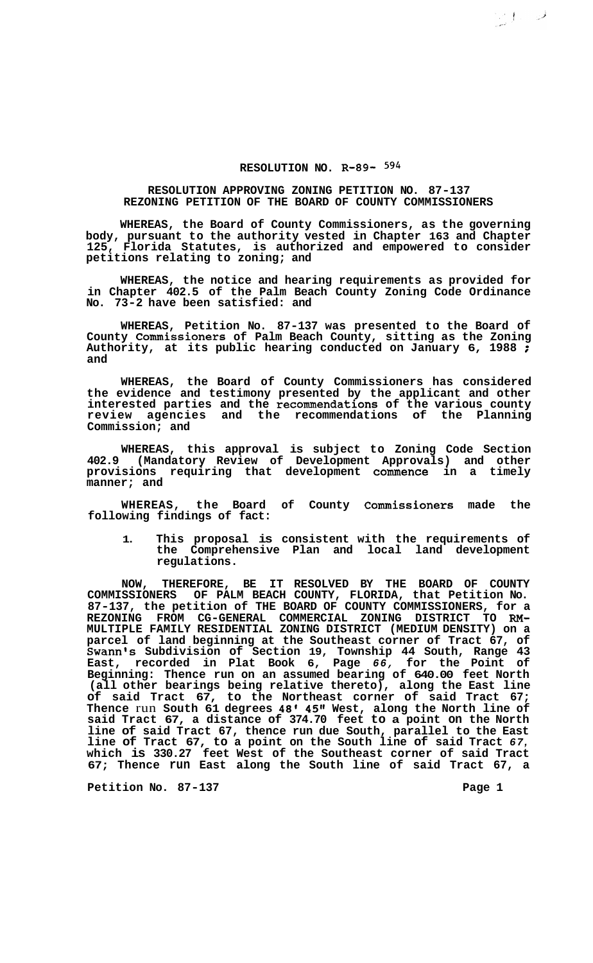## **RESOLUTION NO. R-89-** *5g4*

## **RESOLUTION APPROVING ZONING PETITION NO. 87-137 REZONING PETITION OF THE BOARD OF COUNTY COMMISSIONERS**

**WHEREAS, the Board of County Commissioners, as the governing body, pursuant to the authority vested in Chapter 163 and Chapter 125, Florida Statutes, is authorized and empowered to consider petitions relating to zoning; and** 

**WHEREAS, the notice and hearing requirements as provided for in Chapter 402.5 of the Palm Beach County Zoning Code Ordinance No. 73-2 have been satisfied: and** 

**WHEREAS, Petition No. 87-137 was presented to the Board of County Commissioners of Palm Beach County, sitting as the Zoning Authority, at its public hearing conducted on January 6, 1988** ; **and** 

**WHEREAS, the Board of County Commissioners has considered the evidence and testimony presented by the applicant and other interested parties and the recommendations of the various county review agencies and the recommendations of the Planning Commission; and** 

**WHEREAS, this approval is subject to Zoning Code Section 402.9 (Mandatory Review of Development Approvals) and other provisions requiring that development commence in a timely manner; and** 

**WHEREAS, the Board of County Commissioners made the following findings of fact:** 

**1. This proposal is consistent with the requirements of the Comprehensive Plan and local land development regulations.** 

**NOW, THEREFORE, BE IT RESOLVED BY THE BOARD OF COUNTY COMMISSIONERS OF PALM BEACH COUNTY, FLORIDA, that Petition No. 87-137, the petition of THE BOARD OF COUNTY COMMISSIONERS, for a MULTIPLE FAMILY RESIDENTIAL ZONING DISTRICT (MEDIUM DENSITY) on a parcel of land beginning at the Southeast corner of Tract 67, of Swann's Subdivision of Section 19, Township 44 South, Range 43 East, recorded in Plat Book 6, Page** *66,* **for the Point of Beginning: Thence run on an assumed bearing of 640.00 feet North (all other bearings being relative thereto), along the East line of said Tract 67, to the Northeast corner of said Tract 67; Thence** run **South 61 degrees 48' 45" West, along the North line of said Tract 67, a distance of 374.70 feet to a point on the North line of said Tract 67, thence run due South, parallel to the East line of Tract 67, to a point on the South line of said Tract** *67,*  **which is 330.27 feet West of the Southeast corner of said Tract 67; Thence run East along the South line of said Tract 67, a REZONING FROM CG-GENERAL COMMERCIAL ZONING DISTRICT TO RM-**

**Petition No. 87-137** Page 1

200